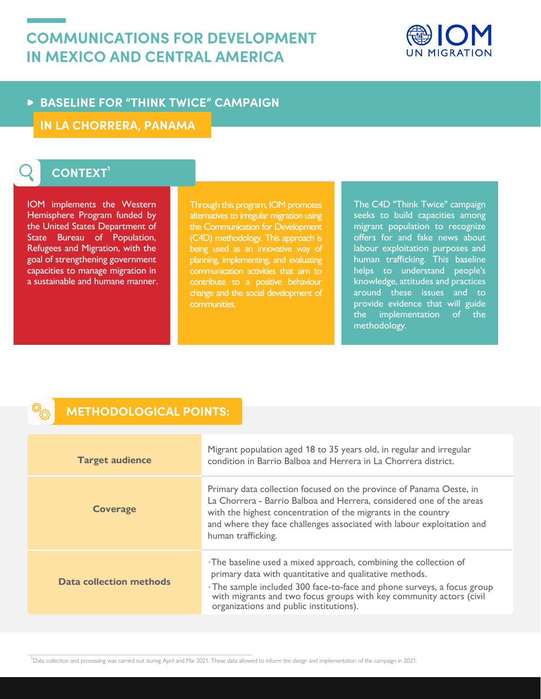# **COMMUNICATIONS FOR DEVELOPMENT IN MEXICO AND CENTRAL AMERICA**



## **BASELINE FOR "THINK TWICE" CAMPAIGN**

**IN LA CHORRERA, PANAMA** 

# CONTEXT<sup>1</sup>

IOM implements the Western Hemisphere Program funded by the United States Department of State Bureau of Population, Refugees and Migration, with the goal of strengthening government capacities to manage migration in a sustainable and humane manner.

Through this program, IOM promotes alternatives to irregular migration using the Communication for Development (C4D) methodology. This approach is being used as an innovative way of planning, implementing, and evaluating communication activities that aim to contribute to a positive behaviour change and the social development of communities.

The C4D "Think Twice" campaign seeks to build capacities among migrant population to recognize offers for and fake news about labour exploitation purposes and human trafficking. This baseline helps to understand people's knowledge, attitudes and practices around these issues and to provide evidence that will guide the implementation of the methodology.

### **METHODOLOGICAL POINTS:**

| <b>Target audience</b>  | Migrant population aged 18 to 35 years old, in regular and irregular<br>condition in Barrio Balboa and Herrera in La Chorrera district.                                                                                                                                                                                  |
|-------------------------|--------------------------------------------------------------------------------------------------------------------------------------------------------------------------------------------------------------------------------------------------------------------------------------------------------------------------|
| <b>Coverage</b>         | Primary data collection focused on the province of Panama Oeste, in<br>La Chorrera - Barrio Balboa and Herrera, considered one of the areas<br>with the highest concentration of the migrants in the country<br>and where they face challenges associated with labour exploitation and<br>human trafficking.             |
| Data collection methods | •The baseline used a mixed approach, combining the collection of<br>primary data with quantitative and qualitative methods.<br>• The sample included 300 face-to-face and phone surveys, a focus group<br>with migrants and two focus groups with key community actors (civil<br>organizations and public institutions). |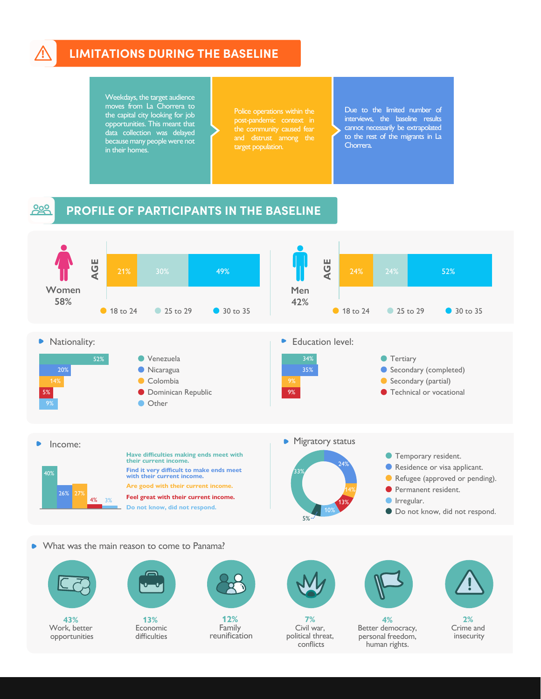

### **! LIMITATIONS DURING THE BASELINE**

Weekdays, the target audience moves from La Chorrera to the capital city looking for job opportunities. This meant that data collection was delayed because many people were not in their homes.

target population.

Due to the limited number of interviews, the baseline results cannot necessarily be extrapolated to the rest of the migrants in La Chorrera.

#### 200 **PROFILE OF PARTICIPANTS IN THE BASELINE**



What was the main reason to come to Panama? ь





**12%** reunification



Civil war, political threat, conflicts



Better democracy, personal freedom, human rights.



insecurity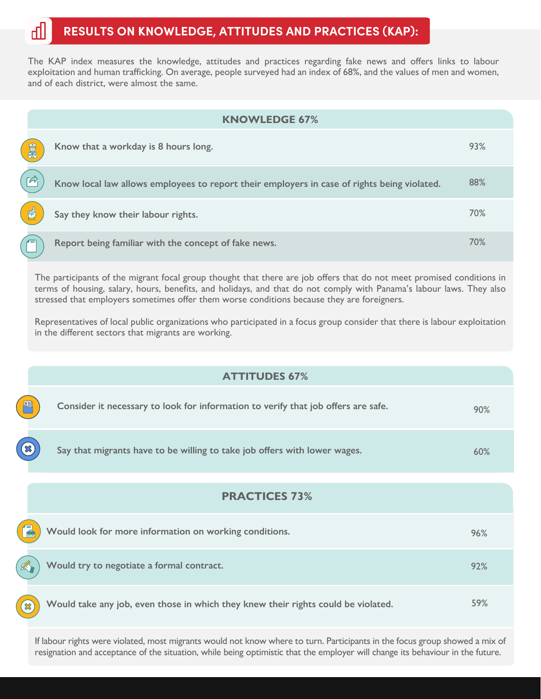## **RESULTS ON KNOWLEDGE, ATTITUDES AND PRACTICES (KAP):**

The KAP index measures the knowledge, attitudes and practices regarding fake news and offers links to labour exploitation and human trafficking. On average, people surveyed had an index of 68%, and the values of men and women, and of each district, were almost the same.

|    | <b>KNOWLEDGE 67%</b>                                                                        |     |
|----|---------------------------------------------------------------------------------------------|-----|
| 富盛 | Know that a workday is 8 hours long.                                                        | 93% |
|    | Know local law allows employees to report their employers in case of rights being violated. | 88% |
| 凹  | Say they know their labour rights.                                                          | 70% |
|    | Report being familiar with the concept of fake news.                                        | 70% |

The participants of the migrant focal group thought that there are job offers that do not meet promised conditions in terms of housing, salary, hours, benefits, and holidays, and that do not comply with Panama's labour laws. They also stressed that employers sometimes offer them worse conditions because they are foreigners.

Representatives of local public organizations who participated in a focus group consider that there is labour exploitation in the different sectors that migrants are working.

|                            | <b>ATTITUDES 67%</b>                                                              |     |
|----------------------------|-----------------------------------------------------------------------------------|-----|
|                            | Consider it necessary to look for information to verify that job offers are safe. | 90% |
|                            | Say that migrants have to be willing to take job offers with lower wages.         | 60% |
| <b>PRACTICES 73%</b>       |                                                                                   |     |
|                            | Would look for more information on working conditions.                            | 96% |
|                            | Would try to negotiate a formal contract.                                         | 92% |
| $\boldsymbol{\mathcal{X}}$ | Would take any job, even those in which they knew their rights could be violated. | 59% |

If labour rights were violated, most migrants would not know where to turn. Participants in the focus group showed a mix of resignation and acceptance of the situation, while being optimistic that the employer will change its behaviour in the future.